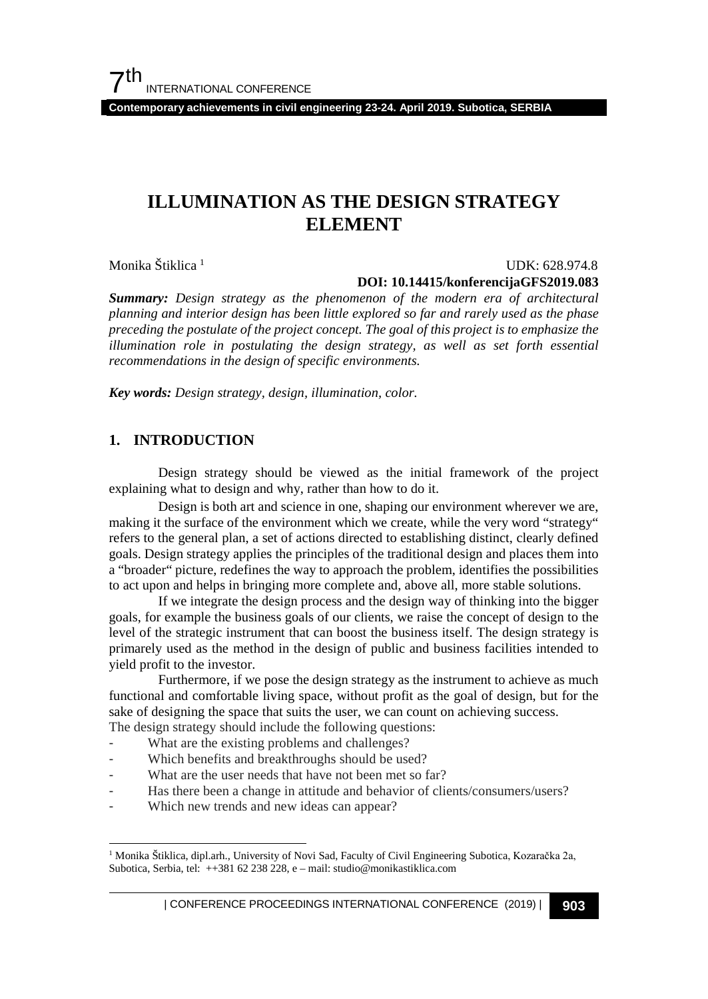$7<sup>th</sup>$ INTERNATIONAL CONFERENCE

**Contemporary achievements in civil engineering 23-24. April 2019. Subotica, SERBIA**

## **ILLUMINATION AS THE DESIGN STRATEGY ELEMENT**

Monika Štiklica [1](#page-0-0)

#### UDK: 628.974.8 **DOI: 10.14415/konferencijaGFS2019.083**

*Summary: Design strategy as the phenomenon of the modern era of architectural planning and interior design has been little explored so far and rarely used as the phase preceding the postulate of the project concept. The goal of this project is to emphasize the illumination role in postulating the design strategy, as well as set forth essential recommendations in the design of specific environments.*

*Key words: Design strategy, design, illumination, color.*

#### **1. INTRODUCTION**

Design strategy should be viewed as the initial framework of the project explaining what to design and why, rather than how to do it.

Design is both art and science in one, shaping our environment wherever we are, making it the surface of the environment which we create, while the very word "strategy" refers to the general plan, a set of actions directed to establishing distinct, clearly defined goals. Design strategy applies the principles of the traditional design and places them into a "broader" picture, redefines the way to approach the problem, identifies the possibilities to act upon and helps in bringing more complete and, above all, more stable solutions.

If we integrate the design process and the design way of thinking into the bigger goals, for example the business goals of our clients, we raise the concept of design to the level of the strategic instrument that can boost the business itself. The design strategy is primarely used as the method in the design of public and business facilities intended to yield profit to the investor.

Furthermore, if we pose the design strategy as the instrument to achieve as much functional and comfortable living space, without profit as the goal of design, but for the sake of designing the space that suits the user, we can count on achieving success. The design strategy should include the following questions:

- What are the existing problems and challenges?
- Which benefits and breakthroughs should be used?
- What are the user needs that have not been met so far?
- 
- Has there been a change in attitude and behavior of clients/consumers/users?
- Which new trends and new ideas can appear?

<span id="page-0-0"></span> <sup>1</sup> Monika Štiklica, dipl.arh., University of Novi Sad, Faculty of Civil Engineering Subotica, Kozaračka 2a, Subotica, Serbia, tel: ++381 62 238 228, e – mail: studio@monikastiklica.com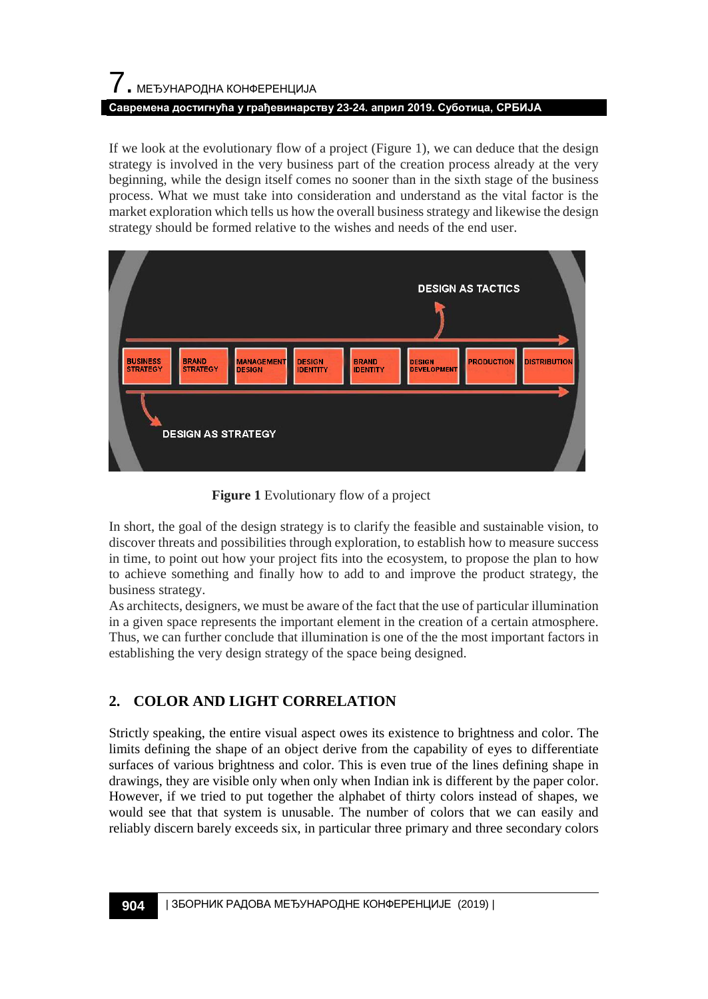# 7. МЕЂУНАРОДНА КОНФЕРЕНЦИЈА **Савремена достигнућа у грађевинарству 23-24. април 2019. Суботица, СРБИЈА**

If we look at the evolutionary flow of a project (Figure 1), we can deduce that the design strategy is involved in the very business part of the creation process already at the very beginning, while the design itself comes no sooner than in the sixth stage of the business process. What we must take into consideration and understand as the vital factor is the market exploration which tells us how the overall business strategy and likewise the design strategy should be formed relative to the wishes and needs of the end user.



 **Figure 1** Evolutionary flow of a project

In short, the goal of the design strategy is to clarify the feasible and sustainable vision, to discover threats and possibilities through exploration, to establish how to measure success in time, to point out how your project fits into the ecosystem, to propose the plan to how to achieve something and finally how to add to and improve the product strategy, the business strategy.

As architects, designers, we must be aware of the fact that the use of particular illumination in a given space represents the important element in the creation of a certain atmosphere. Thus, we can further conclude that illumination is one of the the most important factors in establishing the very design strategy of the space being designed.

## **2. COLOR AND LIGHT CORRELATION**

Strictly speaking, the entire visual aspect owes its existence to brightness and color. The limits defining the shape of an object derive from the capability of eyes to differentiate surfaces of various brightness and color. This is even true of the lines defining shape in drawings, they are visible only when only when Indian ink is different by the paper color. However, if we tried to put together the alphabet of thirty colors instead of shapes, we would see that that system is unusable. The number of colors that we can easily and reliably discern barely exceeds six, in particular three primary and three secondary colors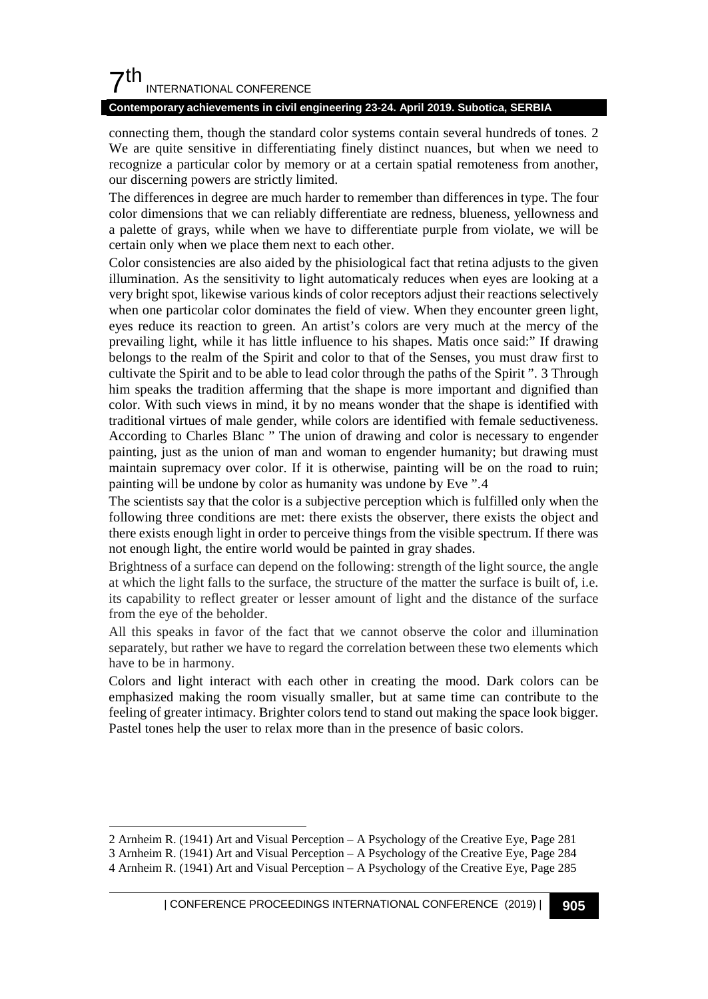## $7<sup>th</sup>$ INTERNATIONAL CONFERENCE

#### **Contemporary achievements in civil engineering 23-24. April 2019. Subotica, SERBIA**

connecting them, though the standard color systems contain several hundreds of tones. [2](#page-2-0) We are quite sensitive in differentiating finely distinct nuances, but when we need to recognize a particular color by memory or at a certain spatial remoteness from another, our discerning powers are strictly limited.

The differences in degree are much harder to remember than differences in type. The four color dimensions that we can reliably differentiate are redness, blueness, yellowness and a palette of grays, while when we have to differentiate purple from violate, we will be certain only when we place them next to each other.

Color consistencies are also aided by the phisiological fact that retina adjusts to the given illumination. As the sensitivity to light automaticaly reduces when eyes are looking at a very bright spot, likewise various kinds of color receptors adjust their reactions selectively when one particolar color dominates the field of view. When they encounter green light, eyes reduce its reaction to green. An artist's colors are very much at the mercy of the prevailing light, while it has little influence to his shapes. Matis once said:" If drawing belongs to the realm of the Spirit and color to that of the Senses, you must draw first to cultivate the Spirit and to be able to lead color through the paths of the Spirit ". [3](#page-2-1) Through him speaks the tradition afferming that the shape is more important and dignified than color. With such views in mind, it by no means wonder that the shape is identified with traditional virtues of male gender, while colors are identified with female seductiveness. According to Charles Blanc " The union of drawing and color is necessary to engender painting, just as the union of man and woman to engender humanity; but drawing must maintain supremacy over color. If it is otherwise, painting will be on the road to ruin; painting will be undone by color as humanity was undone by Eve ".[4](#page-2-2)

The scientists say that the color is a subjective perception which is fulfilled only when the following three conditions are met: there exists the observer, there exists the object and there exists enough light in order to perceive things from the visible spectrum. If there was not enough light, the entire world would be painted in gray shades.

Brightness of a surface can depend on the following: strength of the light source, the angle at which the light falls to the surface, the structure of the matter the surface is built of, i.e. its capability to reflect greater or lesser amount of light and the distance of the surface from the eye of the beholder.

All this speaks in favor of the fact that we cannot observe the color and illumination separately, but rather we have to regard the correlation between these two elements which have to be in harmony.

Colors and light interact with each other in creating the mood. Dark colors can be emphasized making the room visually smaller, but at same time can contribute to the feeling of greater intimacy. Brighter colors tend to stand out making the space look bigger. Pastel tones help the user to relax more than in the presence of basic colors.

-

<span id="page-2-0"></span><sup>2</sup> Arnheim R. (1941) Art and Visual Perception – A Psychology of the Creative Eye, Page 281

<span id="page-2-1"></span><sup>3</sup> Arnheim R. (1941) Art and Visual Perception – A Psychology of the Creative Eye, Page 284

<span id="page-2-2"></span><sup>4</sup> Arnheim R. (1941) Art and Visual Perception – A Psychology of the Creative Eye, Page 285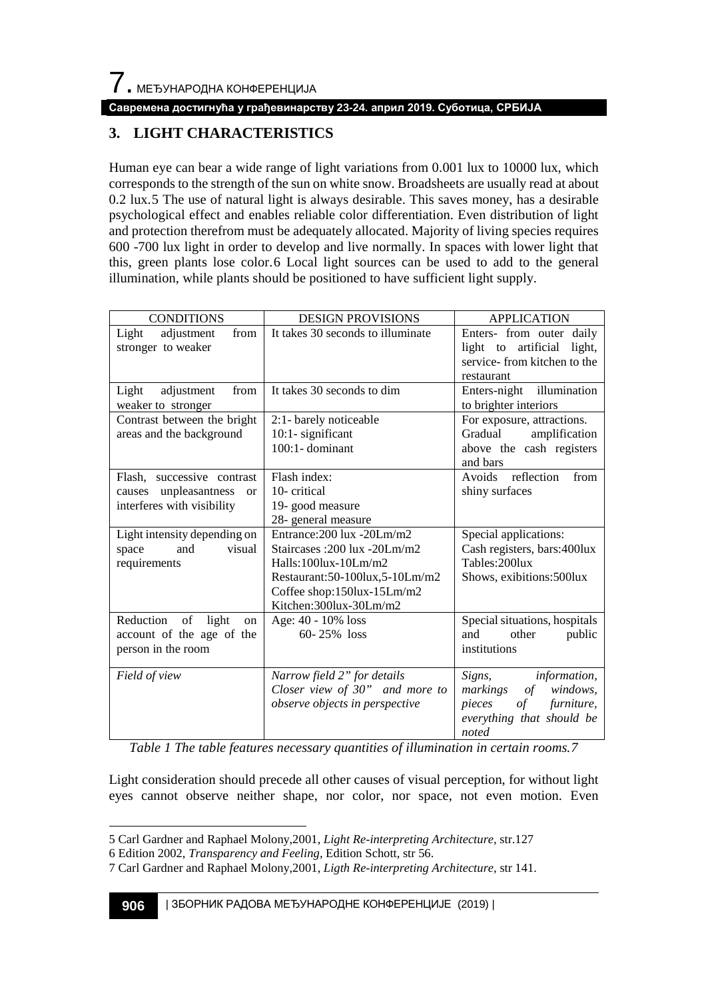#### **Савремена достигнућа у грађевинарству 23-24. април 2019. Суботица, СРБИЈА**

## **3. LIGHT CHARACTERISTICS**

Human eye can bear a wide range of light variations from 0.001 lux to 10000 lux, which corresponds to the strength of the sun on white snow. Broadsheets are usually read at about 0.2 lux.[5](#page-3-0) The use of natural light is always desirable. This saves money, has a desirable psychological effect and enables reliable color differentiation. Even distribution of light and protection therefrom must be adequately allocated. Majority of living species requires 600 -700 lux light in order to develop and live normally. In spaces with lower light that this, green plants lose color.[6](#page-3-1) Local light sources can be used to add to the general illumination, while plants should be positioned to have sufficient light supply.

| <b>CONDITIONS</b>                                                                              | <b>DESIGN PROVISIONS</b>                                                                                                                                                             | <b>APPLICATION</b>                                                                                                                      |
|------------------------------------------------------------------------------------------------|--------------------------------------------------------------------------------------------------------------------------------------------------------------------------------------|-----------------------------------------------------------------------------------------------------------------------------------------|
| Light<br>adjustment<br>from<br>stronger to weaker                                              | It takes 30 seconds to illuminate                                                                                                                                                    | Enters- from outer daily<br>light to artificial light,<br>service-from kitchen to the<br>restaurant                                     |
| from<br>Light<br>adjustment<br>weaker to stronger                                              | It takes 30 seconds to dim                                                                                                                                                           | Enters-night illumination<br>to brighter interiors                                                                                      |
| Contrast between the bright<br>areas and the background                                        | 2:1- barely noticeable<br>10:1- significant<br>$100:1$ - dominant                                                                                                                    | For exposure, attractions.<br>Gradual<br>amplification<br>above the cash registers<br>and bars                                          |
| Flash, successive contrast<br>causes unpleasantness<br><b>or</b><br>interferes with visibility | Flash index:<br>10-critical<br>19- good measure<br>28- general measure                                                                                                               | Avoids reflection<br>from<br>shiny surfaces                                                                                             |
| Light intensity depending on<br>and<br>visual<br>space<br>requirements                         | Entrance: 200 lux - 20Lm/m2<br>Staircases: 200 lux -20Lm/m2<br>Halls: $100$ lux- $10Lm/m2$<br>Restaurant:50-100lux,5-10Lm/m2<br>Coffee shop:150lux-15Lm/m2<br>Kitchen:300lux-30Lm/m2 | Special applications:<br>Cash registers, bars: 400lux<br>Tables: 200lux<br>Shows, exibitions: 500lux                                    |
| Reduction<br>of<br>light<br>on<br>account of the age of the<br>person in the room              | Age: 40 - 10% loss<br>$60 - 25\%$ loss                                                                                                                                               | Special situations, hospitals<br>other<br>and<br>public<br>institutions                                                                 |
| Field of view                                                                                  | Narrow field 2" for details<br>Closer view of 30" and more to<br>observe objects in perspective                                                                                      | <i>information,</i><br>Signs,<br>windows.<br>markings<br>$\sigma f$<br>pieces<br>of<br>furniture,<br>everything that should be<br>noted |

*Table 1 The table features necessary quantities of illumination in certain rooms.[7](#page-3-2)*

Light consideration should precede all other causes of visual perception, for without light eyes cannot observe neither shape, nor color, nor space, not even motion. Even

<span id="page-3-0"></span><sup>-</sup>5 Carl Gardner and Raphael Molony,2001, *Light Re-interpreting Architecture,* str.127

<span id="page-3-1"></span><sup>6</sup> Edition 2002, *Transparency and Feeling*, Edition Schott, str 56.

<span id="page-3-2"></span><sup>7</sup> Carl Gardner and Raphael Molony,2001, *Ligth Re-interpreting Architecture*, str 141.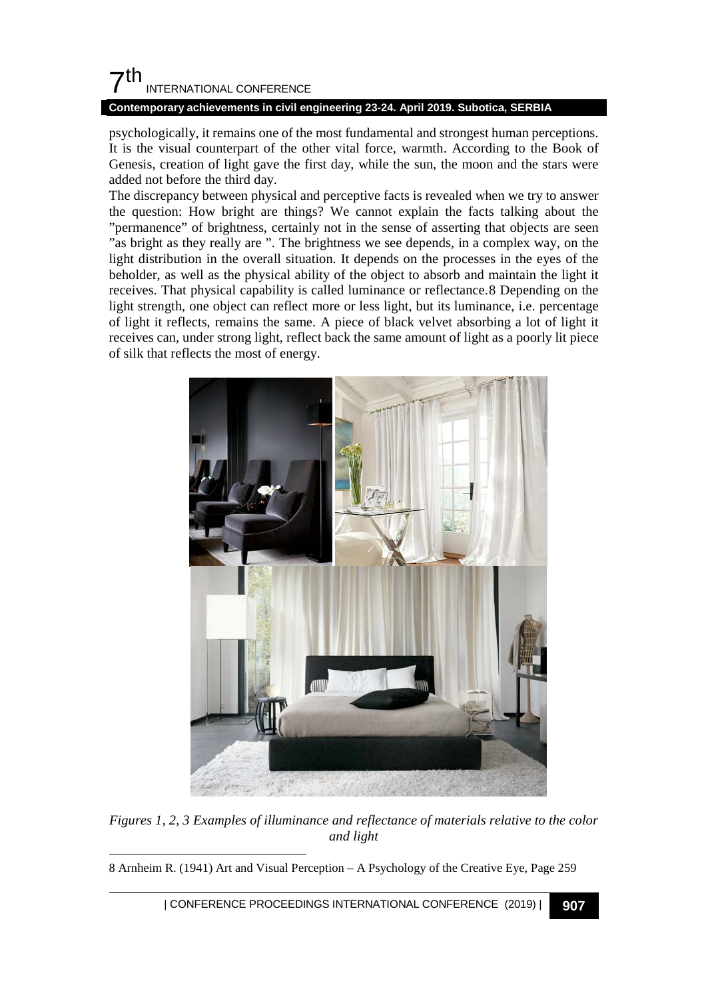## $\mathsf{\Sigma}^{\mathsf{th}}$ INTERNATIONAL CONFERENCE

#### **Contemporary achievements in civil engineering 23-24. April 2019. Subotica, SERBIA**

psychologically, it remains one of the most fundamental and strongest human perceptions. It is the visual counterpart of the other vital force, warmth. According to the Book of Genesis, creation of light gave the first day, while the sun, the moon and the stars were added not before the third day.

The discrepancy between physical and perceptive facts is revealed when we try to answer the question: How bright are things? We cannot explain the facts talking about the "permanence" of brightness, certainly not in the sense of asserting that objects are seen "as bright as they really are ". The brightness we see depends, in a complex way, on the light distribution in the overall situation. It depends on the processes in the eyes of the beholder, as well as the physical ability of the object to absorb and maintain the light it receives. That physical capability is called luminance or reflectance.[8](#page-4-0) Depending on the light strength, one object can reflect more or less light, but its luminance, i.e. percentage of light it reflects, remains the same. A piece of black velvet absorbing a lot of light it receives can, under strong light, reflect back the same amount of light as a poorly lit piece of silk that reflects the most of energy.



*Figures 1, 2, 3 Examples of illuminance and reflectance of materials relative to the color and light*

<span id="page-4-0"></span>1 8 Arnheim R. (1941) Art and Visual Perception – A Psychology of the Creative Eye, Page 259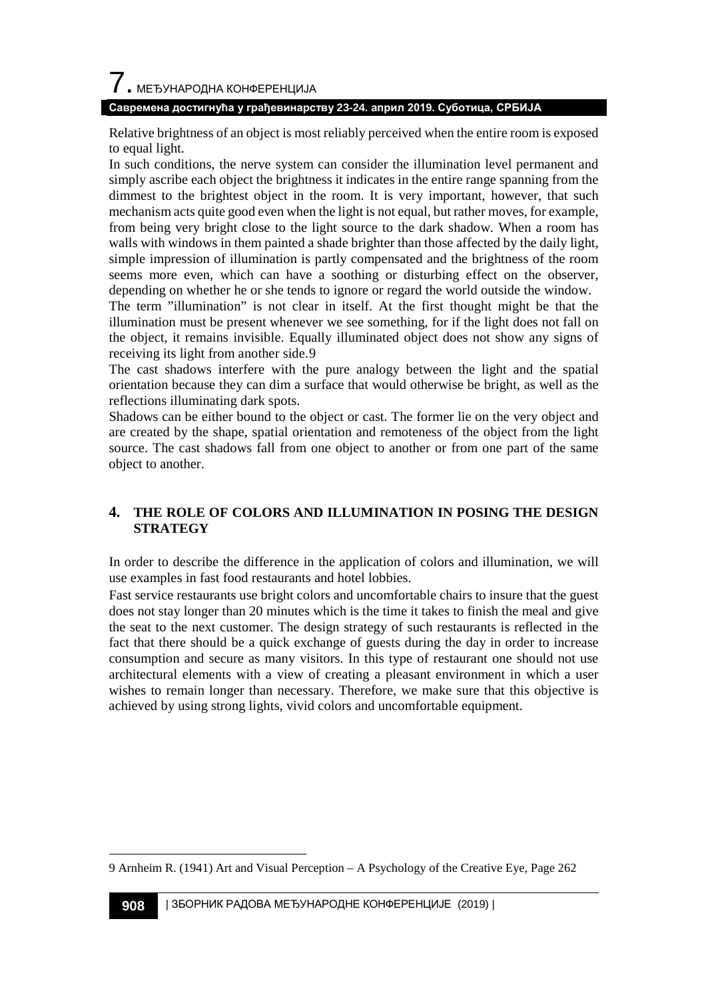# $\overline{\phantom{a}}$ . МЕЂУНАРОДНА КОНФЕРЕНЦИЈА

#### **Савремена достигнућа у грађевинарству 23-24. април 2019. Суботица, СРБИЈА**

Relative brightness of an object is most reliably perceived when the entire room is exposed to equal light.

In such conditions, the nerve system can consider the illumination level permanent and simply ascribe each object the brightness it indicates in the entire range spanning from the dimmest to the brightest object in the room. It is very important, however, that such mechanism acts quite good even when the light is not equal, but rather moves, for example, from being very bright close to the light source to the dark shadow. When a room has walls with windows in them painted a shade brighter than those affected by the daily light, simple impression of illumination is partly compensated and the brightness of the room seems more even, which can have a soothing or disturbing effect on the observer, depending on whether he or she tends to ignore or regard the world outside the window. The term "illumination" is not clear in itself. At the first thought might be that the

illumination must be present whenever we see something, for if the light does not fall on the object, it remains invisible. Equally illuminated object does not show any signs of receiving its light from another side.[9](#page-5-0)

The cast shadows interfere with the pure analogy between the light and the spatial orientation because they can dim a surface that would otherwise be bright, as well as the reflections illuminating dark spots.

Shadows can be either bound to the object or cast. The former lie on the very object and are created by the shape, spatial orientation and remoteness of the object from the light source. The cast shadows fall from one object to another or from one part of the same object to another.

## **4. THE ROLE OF COLORS AND ILLUMINATION IN POSING THE DESIGN STRATEGY**

In order to describe the difference in the application of colors and illumination, we will use examples in fast food restaurants and hotel lobbies.

Fast service restaurants use bright colors and uncomfortable chairs to insure that the guest does not stay longer than 20 minutes which is the time it takes to finish the meal and give the seat to the next customer. The design strategy of such restaurants is reflected in the fact that there should be a quick exchange of guests during the day in order to increase consumption and secure as many visitors. In this type of restaurant one should not use architectural elements with a view of creating a pleasant environment in which a user wishes to remain longer than necessary. Therefore, we make sure that this objective is achieved by using strong lights, vivid colors and uncomfortable equipment.

<span id="page-5-0"></span><sup>1</sup> 9 Arnheim R. (1941) Art and Visual Perception – A Psychology of the Creative Eye, Page 262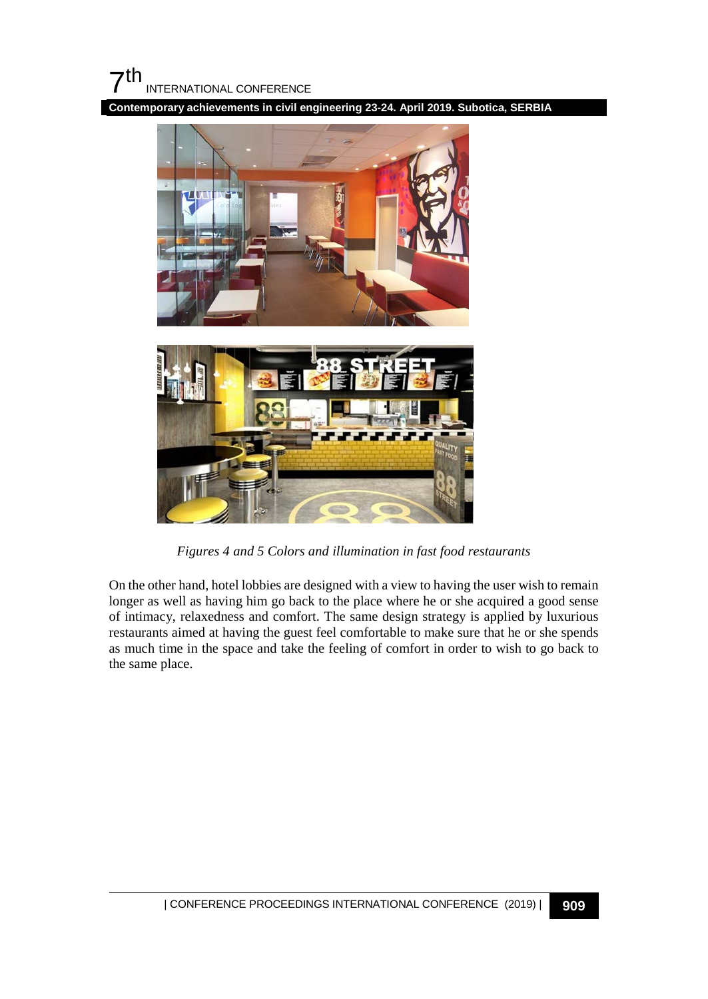

**Contemporary achievements in civil engineering 23-24. April 2019. Subotica, SERBIA**





*Figures 4 and 5 Colors and illumination in fast food restaurants*

On the other hand, hotel lobbies are designed with a view to having the user wish to remain longer as well as having him go back to the place where he or she acquired a good sense of intimacy, relaxedness and comfort. The same design strategy is applied by luxurious restaurants aimed at having the guest feel comfortable to make sure that he or she spends as much time in the space and take the feeling of comfort in order to wish to go back to the same place.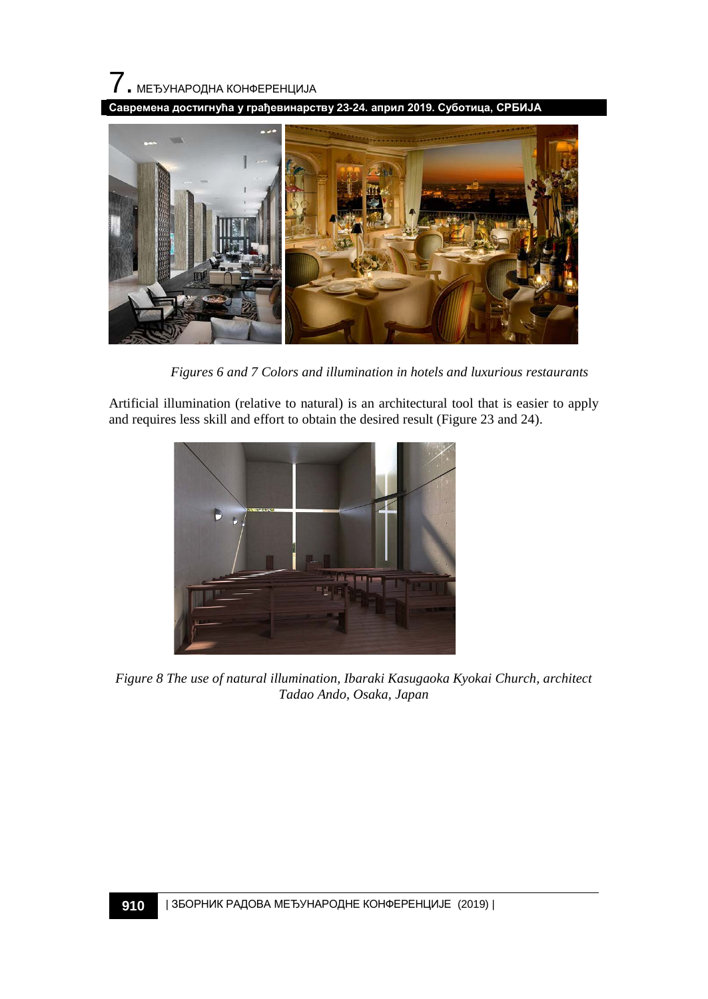

**Савремена достигнућа у грађевинарству 23-24. април 2019. Суботица, СРБИЈА**



 *Figures 6 and 7 Colors and illumination in hotels and luxurious restaurants*

Artificial illumination (relative to natural) is an architectural tool that is easier to apply and requires less skill and effort to obtain the desired result (Figure 23 and 24).



*Figure 8 The use of natural illumination, Ibaraki Kasugaoka Kyokai Church, architect Tadao Ando, Osaka, Japan*